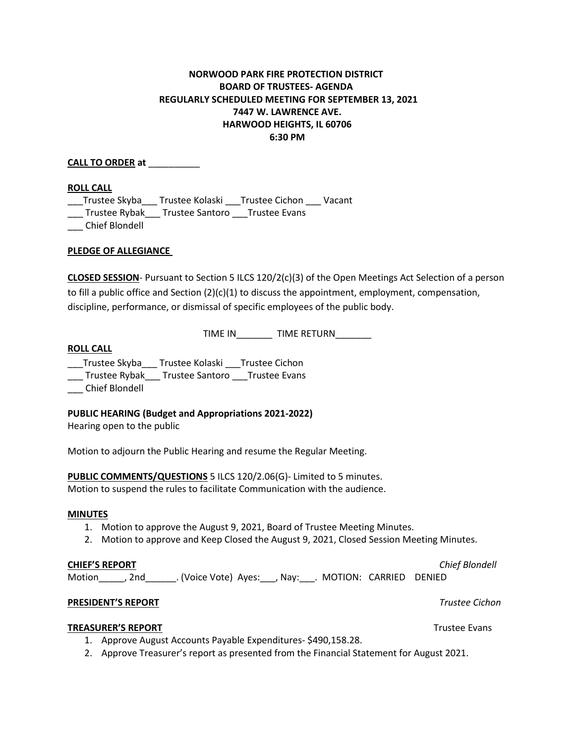# **NORWOOD PARK FIRE PROTECTION DISTRICT BOARD OF TRUSTEES- AGENDA REGULARLY SCHEDULED MEETING FOR SEPTEMBER 13, 2021 7447 W. LAWRENCE AVE. HARWOOD HEIGHTS, IL 60706 6:30 PM**

**CALL TO ORDER at** \_\_\_\_\_\_\_\_\_\_

#### **ROLL CALL**

\_\_\_Trustee Skyba\_\_\_ Trustee Kolaski \_\_\_Trustee Cichon \_\_\_ Vacant

\_\_\_ Trustee Rybak\_\_\_ Trustee Santoro \_\_\_Trustee Evans

\_\_\_ Chief Blondell

## **PLEDGE OF ALLEGIANCE**

**CLOSED SESSION**- Pursuant to Section 5 ILCS 120/2(c)(3) of the Open Meetings Act Selection of a person to fill a public office and Section (2)(c)(1) to discuss the appointment, employment, compensation, discipline, performance, or dismissal of specific employees of the public body.

TIME IN\_\_\_\_\_\_\_ TIME RETURN\_\_\_\_\_\_\_

## **ROLL CALL**

\_\_\_Trustee Skyba\_\_\_ Trustee Kolaski \_\_\_Trustee Cichon

\_\_\_ Trustee Rybak\_\_\_ Trustee Santoro \_\_\_Trustee Evans

\_\_\_ Chief Blondell

## **PUBLIC HEARING (Budget and Appropriations 2021-2022)**

Hearing open to the public

Motion to adjourn the Public Hearing and resume the Regular Meeting.

**PUBLIC COMMENTS/QUESTIONS** 5 ILCS 120/2.06(G)- Limited to 5 minutes.

Motion to suspend the rules to facilitate Communication with the audience.

## **MINUTES**

- 1. Motion to approve the August 9, 2021, Board of Trustee Meeting Minutes.
- 2. Motion to approve and Keep Closed the August 9, 2021, Closed Session Meeting Minutes.

## **CHIEF'S REPORT** *Chief Blondell*

Motion\_\_\_\_\_, 2nd\_\_\_\_\_\_. (Voice Vote) Ayes:\_\_\_, Nay:\_\_\_. MOTION: CARRIED DENIED

## **PRESIDENT'S REPORT** *Trustee Cichon*

## **TREASURER'S REPORT** THE RESERVE TREASURER'S REPORT

- 1. Approve August Accounts Payable Expenditures- \$490,158.28.
- 2. Approve Treasurer's report as presented from the Financial Statement for August 2021.